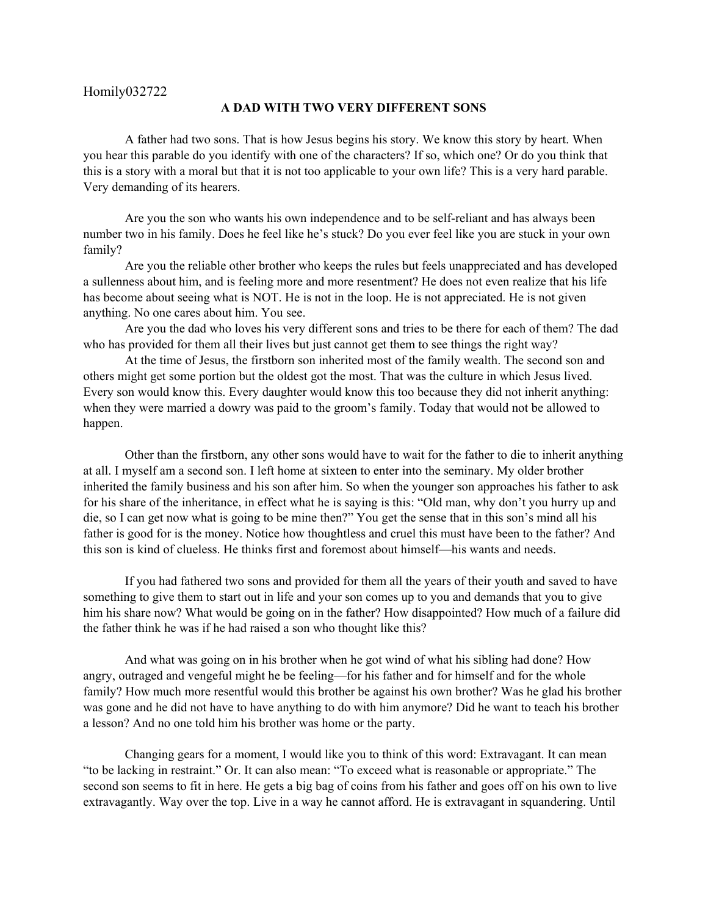## **A DAD WITH TWO VERY DIFFERENT SONS**

A father had two sons. That is how Jesus begins his story. We know this story by heart. When you hear this parable do you identify with one of the characters? If so, which one? Or do you think that this is a story with a moral but that it is not too applicable to your own life? This is a very hard parable. Very demanding of its hearers.

Are you the son who wants his own independence and to be self-reliant and has always been number two in his family. Does he feel like he's stuck? Do you ever feel like you are stuck in your own family?

Are you the reliable other brother who keeps the rules but feels unappreciated and has developed a sullenness about him, and is feeling more and more resentment? He does not even realize that his life has become about seeing what is NOT. He is not in the loop. He is not appreciated. He is not given anything. No one cares about him. You see.

Are you the dad who loves his very different sons and tries to be there for each of them? The dad who has provided for them all their lives but just cannot get them to see things the right way?

At the time of Jesus, the firstborn son inherited most of the family wealth. The second son and others might get some portion but the oldest got the most. That was the culture in which Jesus lived. Every son would know this. Every daughter would know this too because they did not inherit anything: when they were married a dowry was paid to the groom's family. Today that would not be allowed to happen.

Other than the firstborn, any other sons would have to wait for the father to die to inherit anything at all. I myself am a second son. I left home at sixteen to enter into the seminary. My older brother inherited the family business and his son after him. So when the younger son approaches his father to ask for his share of the inheritance, in effect what he is saying is this: "Old man, why don't you hurry up and die, so I can get now what is going to be mine then?" You get the sense that in this son's mind all his father is good for is the money. Notice how thoughtless and cruel this must have been to the father? And this son is kind of clueless. He thinks first and foremost about himself—his wants and needs.

If you had fathered two sons and provided for them all the years of their youth and saved to have something to give them to start out in life and your son comes up to you and demands that you to give him his share now? What would be going on in the father? How disappointed? How much of a failure did the father think he was if he had raised a son who thought like this?

And what was going on in his brother when he got wind of what his sibling had done? How angry, outraged and vengeful might he be feeling—for his father and for himself and for the whole family? How much more resentful would this brother be against his own brother? Was he glad his brother was gone and he did not have to have anything to do with him anymore? Did he want to teach his brother a lesson? And no one told him his brother was home or the party.

Changing gears for a moment, I would like you to think of this word: Extravagant. It can mean "to be lacking in restraint." Or. It can also mean: "To exceed what is reasonable or appropriate." The second son seems to fit in here. He gets a big bag of coins from his father and goes off on his own to live extravagantly. Way over the top. Live in a way he cannot afford. He is extravagant in squandering. Until